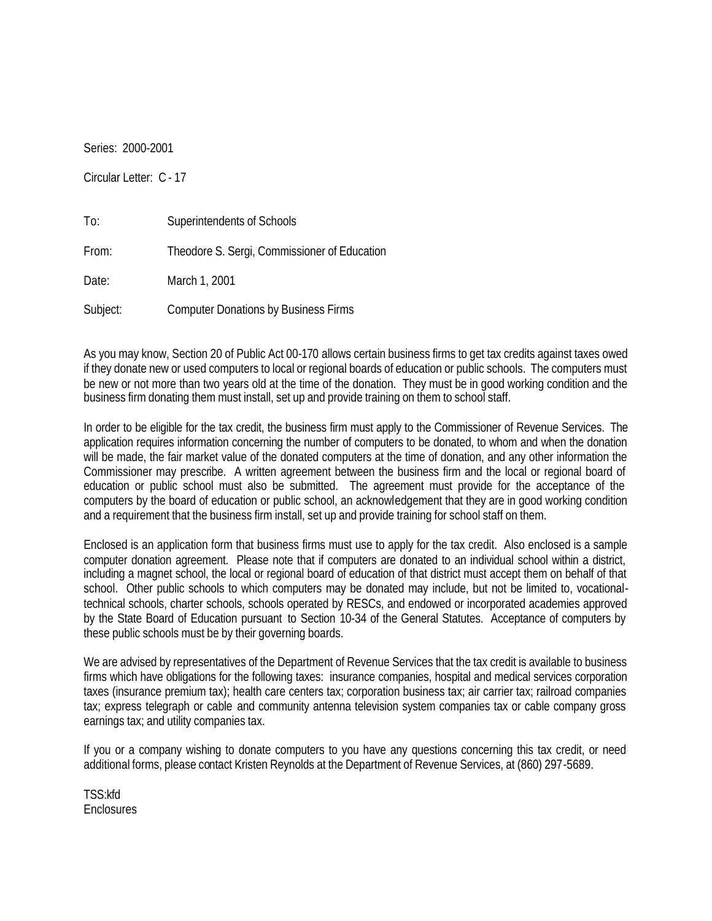Series: 2000-2001

Circular Letter: C - 17

| To:      | Superintendents of Schools                   |
|----------|----------------------------------------------|
| From:    | Theodore S. Sergi, Commissioner of Education |
| Date:    | March 1, 2001                                |
| Subject: | <b>Computer Donations by Business Firms</b>  |

As you may know, Section 20 of Public Act 00-170 allows certain business firms to get tax credits against taxes owed if they donate new or used computers to local or regional boards of education or public schools. The computers must be new or not more than two years old at the time of the donation. They must be in good working condition and the business firm donating them must install, set up and provide training on them to school staff.

In order to be eligible for the tax credit, the business firm must apply to the Commissioner of Revenue Services. The application requires information concerning the number of computers to be donated, to whom and when the donation will be made, the fair market value of the donated computers at the time of donation, and any other information the Commissioner may prescribe. A written agreement between the business firm and the local or regional board of education or public school must also be submitted. The agreement must provide for the acceptance of the computers by the board of education or public school, an acknowledgement that they are in good working condition and a requirement that the business firm install, set up and provide training for school staff on them.

Enclosed is an application form that business firms must use to apply for the tax credit. Also enclosed is a sample computer donation agreement. Please note that if computers are donated to an individual school within a district, including a magnet school, the local or regional board of education of that district must accept them on behalf of that school. Other public schools to which computers may be donated may include, but not be limited to, vocationaltechnical schools, charter schools, schools operated by RESCs, and endowed or incorporated academies approved by the State Board of Education pursuant to Section 10-34 of the General Statutes. Acceptance of computers by these public schools must be by their governing boards.

We are advised by representatives of the Department of Revenue Services that the tax credit is available to business firms which have obligations for the following taxes: insurance companies, hospital and medical services corporation taxes (insurance premium tax); health care centers tax; corporation business tax; air carrier tax; railroad companies tax; express telegraph or cable and community antenna television system companies tax or cable company gross earnings tax; and utility companies tax.

If you or a company wishing to donate computers to you have any questions concerning this tax credit, or need additional forms, please contact Kristen Reynolds at the Department of Revenue Services, at (860) 297-5689.

TSS:kfd **Enclosures**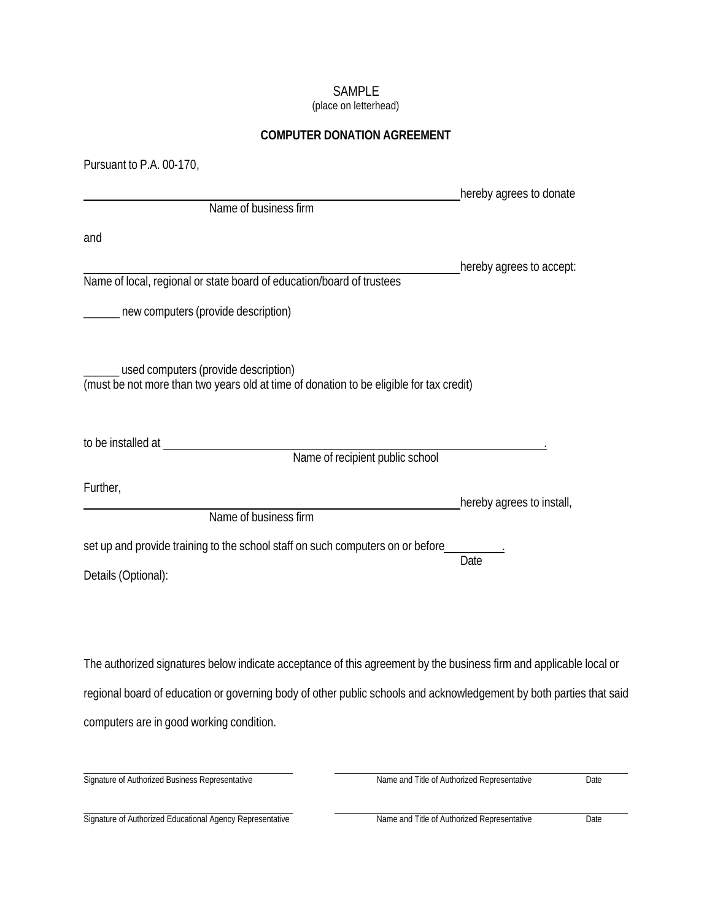# SAMPLE

(place on letterhead)

#### **COMPUTER DONATION AGREEMENT**

| Pursuant to P.A. 00-170,                                                                                                        |                           |  |  |  |
|---------------------------------------------------------------------------------------------------------------------------------|---------------------------|--|--|--|
|                                                                                                                                 | hereby agrees to donate   |  |  |  |
| Name of business firm                                                                                                           |                           |  |  |  |
| and                                                                                                                             |                           |  |  |  |
|                                                                                                                                 | hereby agrees to accept:  |  |  |  |
| Name of local, regional or state board of education/board of trustees                                                           |                           |  |  |  |
| new computers (provide description)                                                                                             |                           |  |  |  |
| used computers (provide description)<br>(must be not more than two years old at time of donation to be eligible for tax credit) |                           |  |  |  |
| to be installed at<br>Name of recipient public school                                                                           |                           |  |  |  |
| Further,                                                                                                                        |                           |  |  |  |
| Name of business firm                                                                                                           | hereby agrees to install, |  |  |  |
| set up and provide training to the school staff on such computers on or before                                                  |                           |  |  |  |
| Details (Optional):                                                                                                             | Date                      |  |  |  |
|                                                                                                                                 |                           |  |  |  |
| The authorized signatures below indicate acceptance of this agreement by the business firm and applicable local or              |                           |  |  |  |
| regional board of education or governing body of other public schools and acknowledgement by both parties that said             |                           |  |  |  |
| computers are in good working condition.                                                                                        |                           |  |  |  |
|                                                                                                                                 |                           |  |  |  |

Signature of Authorized Business Representative Date

Signature of Authorized Educational Agency Representative Name and Title of Authorized Representative Date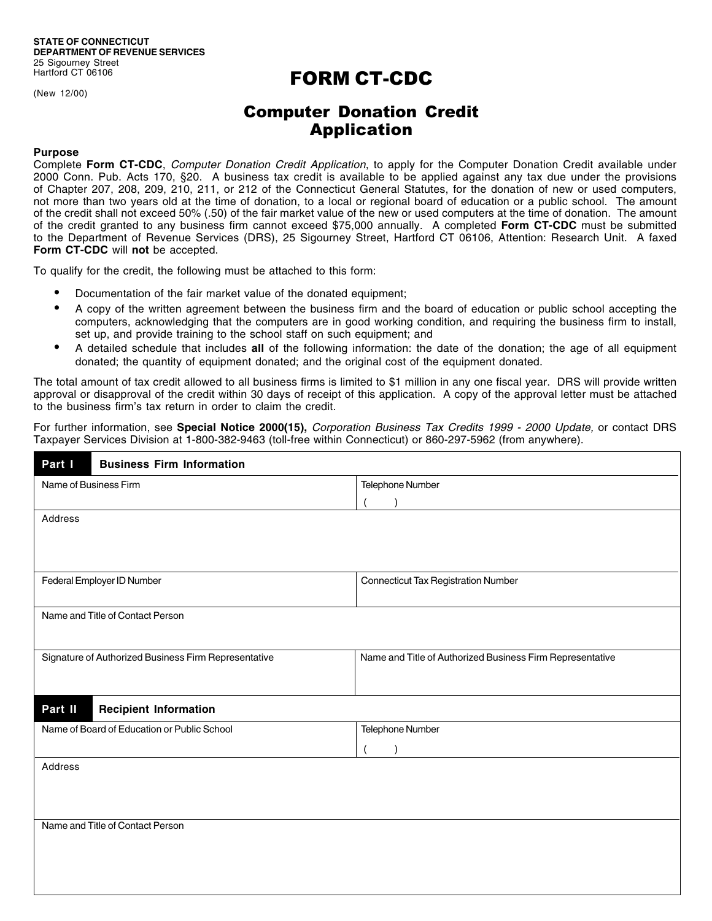(New 12/00)

## FORM CT-CDC

### Computer Donation Credit Application

#### **Purpose**

Complete **Form CT-CDC**, Computer Donation Credit Application, to apply for the Computer Donation Credit available under 2000 Conn. Pub. Acts 170, §20. A business tax credit is available to be applied against any tax due under the provisions of Chapter 207, 208, 209, 210, 211, or 212 of the Connecticut General Statutes, for the donation of new or used computers, not more than two years old at the time of donation, to a local or regional board of education or a public school. The amount of the credit shall not exceed 50% (.50) of the fair market value of the new or used computers at the time of donation. The amount of the credit granted to any business firm cannot exceed \$75,000 annually. A completed **Form CT-CDC** must be submitted to the Department of Revenue Services (DRS), 25 Sigourney Street, Hartford CT 06106, Attention: Research Unit. A faxed **Form CT-CDC** will **not** be accepted.

To qualify for the credit, the following must be attached to this form:

- Documentation of the fair market value of the donated equipment;
- A copy of the written agreement between the business firm and the board of education or public school accepting the computers, acknowledging that the computers are in good working condition, and requiring the business firm to install, set up, and provide training to the school staff on such equipment; and
- • A detailed schedule that includes **all** of the following information: the date of the donation; the age of all equipment donated; the quantity of equipment donated; and the original cost of the equipment donated.

The total amount of tax credit allowed to all business firms is limited to \$1 million in any one fiscal year. DRS will provide written approval or disapproval of the credit within 30 days of receipt of this application. A copy of the approval letter must be attached to the business firm's tax return in order to claim the credit.

For further information, see **Special Notice 2000(15),** Corporation Business Tax Credits 1999 - 2000 Update, or contact DRS Taxpayer Services Division at 1-800-382-9463 (toll-free within Connecticut) or 860-297-5962 (from anywhere).

| Part I<br><b>Business Firm Information</b>           |                                                           |  |  |  |
|------------------------------------------------------|-----------------------------------------------------------|--|--|--|
| Name of Business Firm                                | Telephone Number                                          |  |  |  |
|                                                      |                                                           |  |  |  |
| Address                                              |                                                           |  |  |  |
| Federal Employer ID Number                           | <b>Connecticut Tax Registration Number</b>                |  |  |  |
|                                                      |                                                           |  |  |  |
| Name and Title of Contact Person                     |                                                           |  |  |  |
| Signature of Authorized Business Firm Representative | Name and Title of Authorized Business Firm Representative |  |  |  |
| Part II<br><b>Recipient Information</b>              |                                                           |  |  |  |
| Name of Board of Education or Public School          | Telephone Number                                          |  |  |  |
|                                                      |                                                           |  |  |  |
| Address                                              |                                                           |  |  |  |
|                                                      |                                                           |  |  |  |
|                                                      |                                                           |  |  |  |
| Name and Title of Contact Person                     |                                                           |  |  |  |
|                                                      |                                                           |  |  |  |
|                                                      |                                                           |  |  |  |
|                                                      |                                                           |  |  |  |